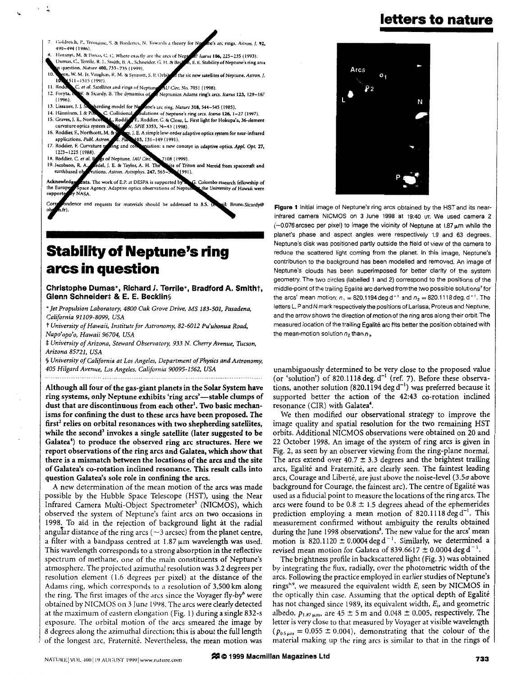**letters to nature** 

- $\overline{7}$ Goldreich, P., Tremaine, S. & Borderies, N. Towards a theory for 490-494 (1986).
- Horanyi, M. & Porco, C. C. Where exactly are the arcs of Nep Icarus 106, 225-235 (1993) Dumas, C., Terrile, R. J., Smith, B. A., Schneider, G. H. & Be E. E. Stability of Neptune's ring arcs question, Nature 400, 733-735 (1999).
- n, W. M. Jr, Vaughan, R. M. & Synnott, S. P. Orb the six new satellites of Neptune. Astron. J.  $1511 - 1515(1991)$
- 11. Rod C. et al. Satellites and rings of Nepti *AU Circ. No. 7051 (1998).*<br>Neptunian Adams ring's arcs. *Icarus* 123, 129–167 12. Foryta, N. & Sicardy, B. The dynamics of
- $(1996)$ **IS. Lissaucr. J. J.**
- *e's* **arc rmg. Nature 318,544-545 (1985).**  rding model for I C. Colli **14. IHinniwn,** I. *8;* **<sup>I</sup> Inter-**<br>**Interference of Neptune's ring arcs.** *Icarus* **126, 1-27 (1997).**
- 15. Graves, J. E., Northcon.<br>curvature optics system \_. **Koddicr.** C. & **Closc, L. First light for Hokupa'a, 36-clemenr**
- 16. Roddier, F., Northcott, M. & L. *SPIE* **3353, 34-43 (1998).**  , I. **E. A simple low-order adaptive optics system for near-inhred 03, 131-149 (1991).**
- applications. *Publ. Astra* 17. Roddier, *F. Curvature* 5 **pation: a** new **concept** in **adaptive optics.** *AppL Opt.* **27.**
- **1223-1225 (1988)**<br>**18. Roddier, C.** *et al.* **B<br>19. Jacobson, R. A.** s of Neptune. JAU Circ 7108 (1999)
- **I. E. & Taylor, A. H. The**<br>ations. Astron. Astrophys. 247, 565 its of Triton and Nereid from spacecraft and earthbased of 1991).

Acknowledg Ints. The work of E.P. at DESPA is supported by . Colombo research fellowship of the Europe pace Agency. Adaptive optics observations of Neptu the University of Hawaii were NASA suppor

dence and requests for materials should be addressed to B.S. (a oil: Bruno.Sicardy@

## **Stability of Neptune's ring arcs in question**

#### **Christophe Dumas', Richard 1. Terrile\*, Bradford A. Smith?, Glenn Schneider**# & E. E. Becklins

*'Jet Propulsion Laboratory, 4800 Oak Grove Drive, MS 183-501, Pasadena, California 91 109-8099, USA* 

t *University of Hawaii, Institute for Astronomy, 82-6012 Pu'uhonua Road, Napo'opo'o, Hawaii 96704, USA* 

\$ *University ofArizona, Steward Observatory, 933 N. Cherry Avenue, Tucson, Arizona 85721, USA* 

**S** *University of California at Los Angeles, Department of Physics and Astronomy, 405 Hilgard Avenue, Los Angeles, California 90095-1562, USA* 

Although all four of the gas-giant planets in the Solar System have ring systems, only Neptune exhibits 'ring arcs'-stable clumps of dust that are discontinuous from each other'. Two basic mechan**isms** for confining the dust to these arcs have been proposed. The first\* relies **on** orbital resonances with *two* shepherding satellites, while the second<sup>3</sup> invokes a single satellite (later suggested to be Galatea<sup>4</sup>) to produce the observed ring arc structures. Here we report observations of the ring arcs and Galatea, which show that there is a mismatch between the locations **of** the arcs and the site of Galatea's co-rotation inclined resonance. This result calls into question Galatea's sole role in confining the arcs.

**A** new determination of the mean motion of the arcs was made possible by the Hubble Space Telescope (HST), using the Near Infrared Camera Multi-Object Spectrometer<sup>5</sup> (NICMOS), which observed the system of Neptune's faint arcs on two occasions in 1998. To aid in the rejection of background light at the radial angular distance of the ring arcs ( $\sim$ 3 arcsec) from the planet centre, a filter with a bandpass centred at 1.87  $\mu$ m wavelength was used. This wavelength corresponds to a strong absorption in the reflective spectrum of methane, one of the main constituents of Neptune's atmosphere. The projected azimuthal resolution was 3.2 degrees per resolution element (1.6 degrees per pixel) at the distance of the Adams ring, which corresponds to **a** resolution of 3,500 km along the ring. The first images of the arcs since the Voyager fly-by<sup>6</sup> were obtained by NICMOS on 3 June 1998. The arcs were clearly detected at the maximum of eastern elongation (Fig. 1) during a single  $832-s$ exposure. The orbital motion of the arcs smeared the image by **<sup>3</sup>**degrees along the dzimuthal direction; this is about the hull length of the longest arc, Fraternité. Nevertheless, the mean motion was



Figure 1 Initial image of Neptune's ring arcs obtained by the HST and its nearinfrared camera NICMOS on **3** June 1998 at 19:40 UT. **We** used camera 2  $(-0.076$  arcsec per pixel) to image the vicinity of Neptune at 1.87  $\mu$ m while the planet's phase and aspect angles were respectively 1.9 and 63 degrees. Neptune's disk was positioned partly outside the field of view of the camera to reduce the scattered light coming from the planet. In this image, Neptune's contribution to the background has been modelled and removed. An image of Neptune's clouds has been superimposed for better clarity of the system geometry. The two circles (labelled 1 and **2)** correspond to the positions of the middle-point of the trailing Egalité arc derived from the two possible solutions<sup>7</sup> for the arcs' mean motion:  $n_1 = 820.1194 \text{ deg d}^{-1}$  and  $n_2 = 820.1118 \text{ deg. d}^{-1}$ . The letters L. P and N mark respectivelythe positions of Larissa. Proteus and Neptune. and the arrow shows the direction of motion of the ring arcs along their orbit. The measured location of the trailing Egalite arc tits better the position obtained with the mean-motion solution  $n_2$  than  $n_1$ 

unambiguously determined to be very close to the proposed value (or 'solution') of 820.1 118 deg. d" (ref. **7).** Before these observations, another solution (820.1194 deg  $d^{-1}$ ) was preferred because it supported better the action of the 42:43 co-rotation inclined resonance (CIR) with Galatea'.

We then modified our observational strategy to improve the image quality and spatial resolution for the two remaining HST orbits. Additional NICMOS observations were obtained on 20 and 22 October 1998. An image of the system of ring arcs is given in Fig. 2, as seen by an observer viewing from the ring-plane normal. The arcs extend over 40.7  $\pm$  3.3 degrees and the brightest trailing arcs, Egalité and Fraternité, are clearly seen. The faintest leading arcs, Courage and Liberté, are just above the noise-level  $(3.5\sigma)$  above background for Courage, the faintest arc). The centre of Egalité was used as a fiducial point to measure the locations of the ring arcs. The arcs were found to be  $0.8 \pm 1.5$  degrees ahead of the ephemerides prediction employing a mean motion of 820.1118 deg  $d^{-1}$ . This measurement confirmed without ambiguity the results obtained during the June 1998 observations'. The new value for the arcs' mean motion is 820.1120  $\pm$  0.0004 deg d<sup>-1</sup>. Similarly, we determined a revised mean motion for Galatea of 839.6617  $\pm$  0.0004 deg d<sup>-1</sup>.

The brightness profile in backscattered light (Fig. 3) was obtained by integrating the flux, radially, over the photometric width of the arcs. Following the practice employed in earlier studies of Neptune's rings<sup>6,9</sup>, we measured the equivalent width  $E_i$  seen by NICMOS in the optically thin case. Assuming that the optical depth of Egalité has not changed since 1989, its equivalent width, *E,,* and geometric albedo,  $p_{1.87~\mu m}$ , are  $45 \pm 5$  m and 0.048  $\pm$  0.005, respectively. The letter is very close to that measured by Voyager at visible wavelength  $(p_{0.5\mu m} = 0.055 \pm 0.004)$ , demonstrating that the colour of the material making up the ring arcs is similar to that in the rings of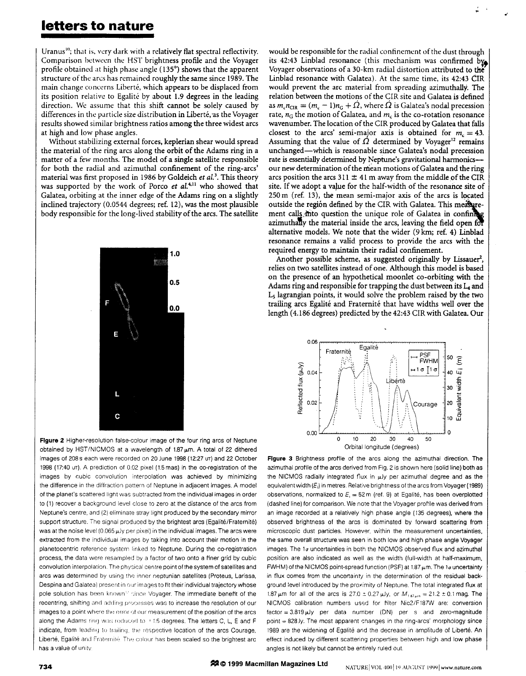## **letters to nature**

~ ~~ ~ ~~

Uranus"'; that is, very **dark** with a relatively flat spectral reflectivity. Comparison between the HSI' brightness profile and the Voyager profile obtained at high phase angle  $(135^{\circ})$  shows that the apparent structure of the arcs has remained roughly the same since 1989. The main change concerns Liberté, which appears to be displaced from its position relative to Egalité by about 1.9 degrees in the leading direction. We assume that this shift cannot be solely caused by differences in the particle size distribution in Liberté, as the Voyager results showed similar brightness ratios among the three widest arcs at high and low phase angles.

Without stabilizing external forces, keplerian shear would spread the material of the ring arcs along the orbit of the Adams ring in a matter of a few months. The model of a single satellite responsible for both the radial and azimuthal confinement of the ring-arcs' material was first proposed in 1986 by Goldeich *et aL'.* This theory was supported by the work of Porco *et al.<sup>4,11</sup>* who showed that Galatea, orbiting at the inner edge of the Adams ring on a slightly inclined trajectory (0.0544 degrees; ref. 12), was the most plausible body responsible for the long-lived stability of the arcs. The satellite



**Figure 2** Higher-resolution false-colour image of the four ring arcs of Neptune obtained by HST/NICMOS at a wavelength of  $1.87 \,\mu m$ . A total of 22 dithered images of *208s* each were recorded on 20 June 1998 (1227 us) and **22** October 1998 (17:40 UT). A prediction of 0.02 pixel (1.5mas) in the co-registration of the images by cubic convolution interpolation was achieved by minimizing the difference in the diffraction pattern of Neptune in adjacent images. A model of the planet's scattered light was subtracted from the individual images in order to (1) recover a background level close to zero at the distance of the arcs from Neptune's centre, and (2) elimlnate stray light produced by the secondary mirror support structure. The signal produced by the brightest arcs (Egalité/Fraternité) was at the noise level (0.065  $\mu$ Jy per pixel) in the individual images. The arcs were extracted from the Individual images by taking into account their motion in the planetocentric reference system linked to Neptune. During the co-registration process, the data were resampled by a factor of two onto a finer grid by cubic convolution interpolation. The physical centre point of the system of satellites and arcs was determined by using the inner neptunian satellites (Proteus, Larissa. Despina and Galatea) present in our images to fit their individual trajectory whose pole solution has been known<sup>12</sup> since Voyager. The immediate benefit of the recentring, shifting and adding processes was to increase the resolution of our images to a point where the error of our measurement of the position of the arcs along the Adams ring was reduced to +1.5 degrees. The letters C, L, E and F indicate, from leading to trailing, the respective location of the arcs Courage, Liberté, Egalité and Fraternité. The colour has been scaled so the brightest arc has a value of unity

would be responsible for the radial confinement of the dust through its 42:43 Linblad resonance (this mechanism was confirmed by Voyager observations of a 30-km radial distortion attributed to **the**  Linblad resonance with Galatea). At the same time, its 42:43 CIR would prevent the arc material from spreading azimuthally. The relation between the motions of the CIR site and Galatea is defined as  $m_c n_{\text{CIR}} = (m_c - 1)n_G + \Omega$ , where  $\Omega$  is Galatea's nodal precession rate,  $n_G$  the motion of Galatea, and  $m_G$  is the co-rotation resonance wavenumber. The location of the CIR produced by Galatea that falls closest to the arcs' semi-major axis is obtained for  $m_r = 43$ . Assuming that the value of  $\Omega$  determined by Voyager<sup>12</sup> remains unchanged-which is reasonable since Galatea's nodal precession rate is essentially determined by Neptune's gravitational harmonicsour new determination of the mean motions of Galatea and the ring arcs position the arcs  $311 \pm 41$  m away from the middle of the CIR site. If we adopt a value for the half-width of the resonance site of 250m (ref. 13), the mean semi-major axis of the arcs is located outside the region defined by the CIR with Galatea. This measurement calls mto question the unique role of Galatea in confining azimuthally the material inside the arcs, leaving the field open for alternative models. We note that the wider (9km; ref. 4) Linblad resonance remains a valid process to provide the arcs with the required energy to maintain their radial confinement.

**P** 

Another possible scheme, as suggested originally by Lissauer<sup>2</sup>, relies on two satellites instead of one. Although this model is based on the presence of an hypothetical moonlet co-orbiting with the Adams ring and responsible for trapping the dust between its L4 and L5 lagrangian points, it would solve the problem raised by the two trailing arcs Egalité and Fraternité that have widths well over the length (4.186 degrees) predicted by the 42:43 CIR with Galatea. Our



**Figure 3** Brightness profile of the arcs along the azimuthal direction. The azimuthal profile of the arcs derived from Fig. **2** is shown here (solid line) both as the NICMOS radially integrated flux in  $\mu$ Jy per azimuthal degree and as the equivalent width *(E<sub>i</sub>*) in metres. Relative brightness of the arcs from Voyager (1989) observations, normalized to  $E_r = 52$  m (ref. 9) at Egalité, has been overplotted (dashed line) for comparison. We note that the Voyager profile was derived from an image recorded at a relatively high phase angle (135 degrees), where the observed brightness of the arcs is dominated by forward scattering from microscopic dust particles. However, within the measurement uncertainties, the same overall structure was seen in both low and high phase angle Voyager images. The 1g uncertainties in both the NICMOS observed flux and azimuthal position are also indicated as well as the width (full-width at half-maximum, FWHM) of the NICMOS point-spread function (PSF) at 1.87  $\mu$ m. The 1*a* uncertainty in flux comes from the uncertainty in the determination of the residual background level introduced by the proximity of Neptune. The total integrated flux at 1.87  $\mu$ m for all of the arcs is 27.0  $\pm$  0.27  $\mu$ Jy, or  $M_{187\mu m} = 21.2 \pm 0.1$  mag. The NICMOS calibration numbers used for filter Nic2/F187W are: conversion factor = 3.819 µJy per data number (DN) per s and zero-magnitude point = 828 ly. The most apparent changes in the ring-arcs' morphology since 1989 are the widening of Egalité and the decrease in amplitude of Liberté. An effect induced by different scattering properties between high and low phase angles is not likely but cannot be entirely ruled out.

22 © 1999 Macmillan Magazines Ltd